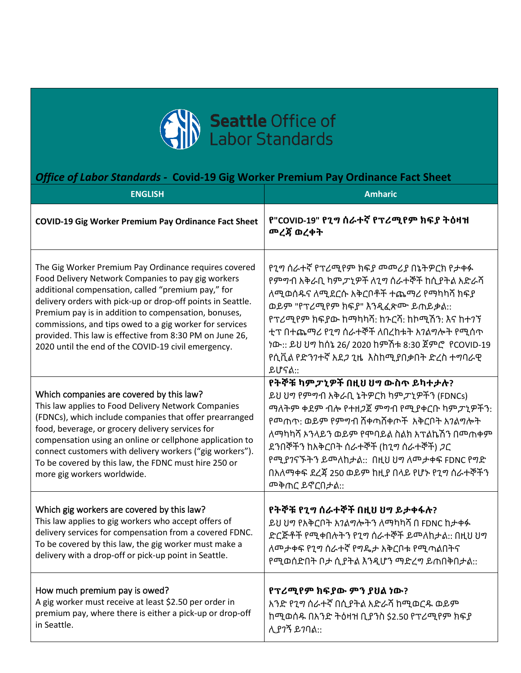

## *Office of Labor Standards -* **Covid-19 Gig Worker Premium Pay Ordinance Fact Sheet**

| <b>ENGLISH</b>                                                                                                                                                                                                                                                                                                                                                                                                                                                         | <b>Amharic</b>                                                                                                                                                                                                                                                                                                                                                                                        |
|------------------------------------------------------------------------------------------------------------------------------------------------------------------------------------------------------------------------------------------------------------------------------------------------------------------------------------------------------------------------------------------------------------------------------------------------------------------------|-------------------------------------------------------------------------------------------------------------------------------------------------------------------------------------------------------------------------------------------------------------------------------------------------------------------------------------------------------------------------------------------------------|
| <b>COVID-19 Gig Worker Premium Pay Ordinance Fact Sheet</b>                                                                                                                                                                                                                                                                                                                                                                                                            | የ"COVID-19" የጊግ ሰራተኛ የፕሪሚየም ክፍያ ትዕዛዝ<br><b>መረ</b> ጃ ወረቀት                                                                                                                                                                                                                                                                                                                                              |
| The Gig Worker Premium Pay Ordinance requires covered<br>Food Delivery Network Companies to pay gig workers<br>additional compensation, called "premium pay," for<br>delivery orders with pick-up or drop-off points in Seattle.<br>Premium pay is in addition to compensation, bonuses,<br>commissions, and tips owed to a gig worker for services<br>provided. This law is effective from 8:30 PM on June 26,<br>2020 until the end of the COVID-19 civil emergency. | የጊግ ሰራተኛ የፕሪሚየም ክፍያ መመሪያ በኔትዎርክ የታቀፉ<br>የምግብ አቅራቢ ካም ፓኒዎች ለጊግ ሰራተኞች ከሲያትል አድራሻ<br>ለሚወሰዱና ለሚደርሱ አቅርቦቶች ተጨማሪ የማካካሻ ክፍያ<br>ወይም "የፕሪሚየም ክፍያ" እንዲፈጽሙ ይጠይቃል::<br>የፕሪሚየም ክፍያው ከማካካሻ: ከንርሻ: ከኮሚሽን: እና ከተንኘ<br>ቲፕ በተጨማሪ የጊግ ሰራተኞች ለበረከቱት አንልግሎት የሚሰጥ<br>ነው:: ይህ ህግ ከሰኔ 26/ 2020 ከምሽቱ 8:30 ጀምሮ የCOVID-19<br>የሲቪል የድንንተኛ አደ <i>ጋ</i> ጊዜ እስከሚያበቃበት ድረስ ተግባራዊ<br>ይሆናል::                                            |
| Which companies are covered by this law?<br>This law applies to Food Delivery Network Companies<br>(FDNCs), which include companies that offer prearranged<br>food, beverage, or grocery delivery services for<br>compensation using an online or cellphone application to<br>connect customers with delivery workers ("gig workers").<br>To be covered by this law, the FDNC must hire 250 or<br>more gig workers worldwide.                                          | የትኞቹ ካምፓኒዎች በዚህ ህግ ውስጥ ይካተታሉ?<br>ይህ ህግ የምግብ አቅራቢ ኔትዎርክ ካም <i>ፓ</i> ኒዎችን (FDNCs)<br>ማለትም ቀደም ብሎ የተዘ <i>ጋ</i> ጀ ምግብ የሚያቀርቡ ካም <i>ፓኒ</i> ዎችን:<br>የመጠጥ: ወይም የምግብ ሸቀጣሸቀጦች አቅርቦት አንልግሎት<br>ለማካካሻ ኦንላይን ወይም የሞባይል ስልክ አፕልኬሽን በመጠቀም<br>ደንበኞችን ከአቅርቦት ሰራተኞች (ከጊግ ሰራተኞች) <i>ጋ</i> ር<br>የሚያንናኙትን ይመለከታል:: በዚህ ህግ ለመታቀፍ FDNC የግድ<br>በአለማቀፍ ደረጃ 250 ወይም ከዚያ በላይ የሆኑ የጊግ ሰራተኞችን<br><u> <sup>መ</sup>ቅጠር ይኖርበታል::</u> |
| Which gig workers are covered by this law?<br>This law applies to gig workers who accept offers of<br>delivery services for compensation from a covered FDNC.<br>To be covered by this law, the gig worker must make a<br>delivery with a drop-off or pick-up point in Seattle.                                                                                                                                                                                        | የትኞቹ የጊግ ሰራተኞች በዚህ ህግ ይታቀፋሉ?<br>ይህ ህግ የአቅርቦት አንልግሎትን ለማካካሻ በ FDNC ከታቀፉ<br>ድርጅቶች የሚቀበሉትን የጊግ ሰራተኞች ይመለከታል:: በዚህ ህግ<br>ለመታቀፍ የጊግ ሰራተኛ የግዴታ አቅርቦቱ የሚጣልበትና<br>የሚወሰድበት ቦታ ሲያትል እንዲሆን ማድረግ ይጠበቅበታል::                                                                                                                                                                                                        |
| How much premium pay is owed?<br>A gig worker must receive at least \$2.50 per order in<br>premium pay, where there is either a pick-up or drop-off<br>in Seattle.                                                                                                                                                                                                                                                                                                     | የፕሪሚየም ክፍያው ምን ያሀል ነው?<br>አንድ የጊግ ሰራተኛ በሲያትል አድራሻ ከሚወርዱ ወይም<br>ከሚወሰዱ በአንድ ትዕዛዝ ቢያንስ \$2.50 የፕሪሚየም ክፍያ<br>ሊያንኝ ይንባል::                                                                                                                                                                                                                                                                                  |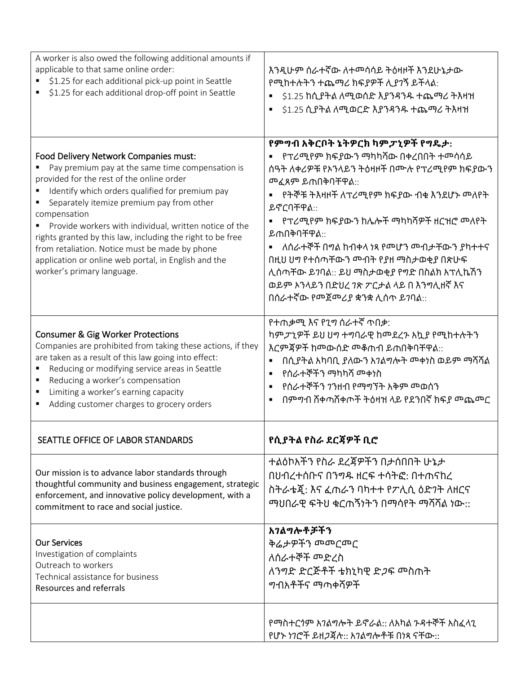| A worker is also owed the following additional amounts if<br>applicable to that same online order:<br>\$1.25 for each additional pick-up point in Seattle<br>\$1.25 for each additional drop-off point in Seattle                                                                                                                                                                                                                                                                                                      | እንዲሁም ሰራተኛው ለተሞሳሳይ ትዕዛዞች እንደሁኔታው<br>የሚከተሉትን ተጨማሪ ክፍያዎች ሊያንኝ ይችላል:<br>\$1.25 ከሲያትል ለሚወሰድ እያንዳንዱ ተጨማሪ ትእዛዝ<br>\$1.25 ሲያትል ለሚወርድ እያንዳንዱ ተጨማሪ ትእዛዝ                                                                                                                                                                                                                                                                                                                |
|------------------------------------------------------------------------------------------------------------------------------------------------------------------------------------------------------------------------------------------------------------------------------------------------------------------------------------------------------------------------------------------------------------------------------------------------------------------------------------------------------------------------|---------------------------------------------------------------------------------------------------------------------------------------------------------------------------------------------------------------------------------------------------------------------------------------------------------------------------------------------------------------------------------------------------------------------------------------------------------------|
| Food Delivery Network Companies must:<br>Pay premium pay at the same time compensation is<br>provided for the rest of the online order<br>Identify which orders qualified for premium pay<br>Separately itemize premium pay from other<br>compensation<br>Provide workers with individual, written notice of the<br>rights granted by this law, including the right to be free<br>from retaliation. Notice must be made by phone<br>application or online web portal, in English and the<br>worker's primary language. | የምግብ አቅርቦት ኔትዎርክ ካምፓኒዎች የግዴታ:<br>▪ የፕሪሚየም ክፍያውን ማካካሻው በቀረበበት ተመሳሳይ<br>ሰዓት ለቀሪዎቹ የኦንላይን ትዕዛዞች በሙሉ የፕሪሚየም ክፍያውን<br><u> መፈጸም ይጠበቅባቸዋል::</u><br>■    የትኞቹ ትእዛዞች ለፕሪሚየም ክፍያው ብቁ እንደሆኑ መለየት<br>ይኖርባቸዋል::<br>■     የፕሪሚየም ክፍያውን ከሌሎች ማካካሻዎች ዘርዝሮ መለየት<br>ይጠበቅባቸዋል::<br>ለሰራተኞች በማል ከብቀላ ነጻ የመሆን መብታቸውን ያካተተና<br>በዚህ ህግ የተሰጣቸውን ሞብት የያዘ ማስታወቂያ በጽሁፍ<br>ሊሰጣቸው ይ7ባል:: ይህ ማስታወቂያ የግድ በስልክ አፕሊኬሽን<br>ወይም ኦንላይን በድህረ ንጽ ፖርታል ላይ በ እንግሊዘኛ እና<br>በሰራተኛው የመጀመሪያ ቋንቋ ሊሰጥ ይንባል:: |
| <b>Consumer &amp; Gig Worker Protections</b><br>Companies are prohibited from taking these actions, if they<br>are taken as a result of this law going into effect:<br>Reducing or modifying service areas in Seattle<br>Reducing a worker's compensation<br>Limiting a worker's earning capacity<br>Adding customer charges to grocery orders                                                                                                                                                                         | የተጠቃሚ እና የጊግ ሰራተኛ ጥበቃ:<br><u>ካም<i>ፓኒ</i>ዎች ይህ ህማ ተማባራዊ ከመደረ</u> ጉ አኳያ የሚከተሉትን<br>እርምጃዎች ከመውሰድ መቆጠብ ይጠበቅባቸዋል::<br>በሲያትል አካባቢ ያለውን አንልግሎት መቀነስ ወይም ማሻሻል<br>የሰራተኞችን ማካካሻ መቀነስ<br>$\blacksquare$<br>በምግብ ሸቀጣሸቀጦች ትዕዛዝ ላይ የደንበኛ ክፍያ መጨመር                                                                                                                                                                                                                           |
| SEATTLE OFFICE OF LABOR STANDARDS                                                                                                                                                                                                                                                                                                                                                                                                                                                                                      | የሲያትል የስራ ደርጃዎች ቢሮ                                                                                                                                                                                                                                                                                                                                                                                                                                            |
| Our mission is to advance labor standards through<br>thoughtful community and business engagement, strategic<br>enforcement, and innovative policy development, with a<br>commitment to race and social justice.                                                                                                                                                                                                                                                                                                       | ተልዕኮአችን የስራ ደረጃዎችን በታሰበበት ሁኔታ<br>በህብረተሰቡና በንግዱ ዘርፍ ተሳትፎ: በተጠናከረ<br>ስትራቴጂ: እና ፈጠራን ባካተተ የፖሊሲ ዕድንት ለዘርና<br>ማህበራዊ ፍትህ ቁርጠኝነትን በማሳየት ማሻሻል ነው::                                                                                                                                                                                                                                                                                                                    |
| <b>Our Services</b><br>Investigation of complaints<br>Outreach to workers<br>Technical assistance for business<br>Resources and referrals                                                                                                                                                                                                                                                                                                                                                                              | አገልግሎቶቻችን<br>ቅሬታዎችን መመርመር<br>ለሰራተኞች መድረስ<br>ለንግድ ድርጅቶች ቴክኒካዊ ድ <i>ጋ</i> ፍ መስጠት<br><u> ማብአቶችና ማጣቀሻዎች</u>                                                                                                                                                                                                                                                                                                                                                       |
|                                                                                                                                                                                                                                                                                                                                                                                                                                                                                                                        | የማስተርጎም አገልግሎት ይኖራል:: ለአካል ንዳተኞች አስፈላጊ<br>የሆኑ ነገሮች ይዘ <i>ጋ</i> ጃሉ:: አገልግሎቶቹ በነጻ ናቸው::                                                                                                                                                                                                                                                                                                                                                                         |